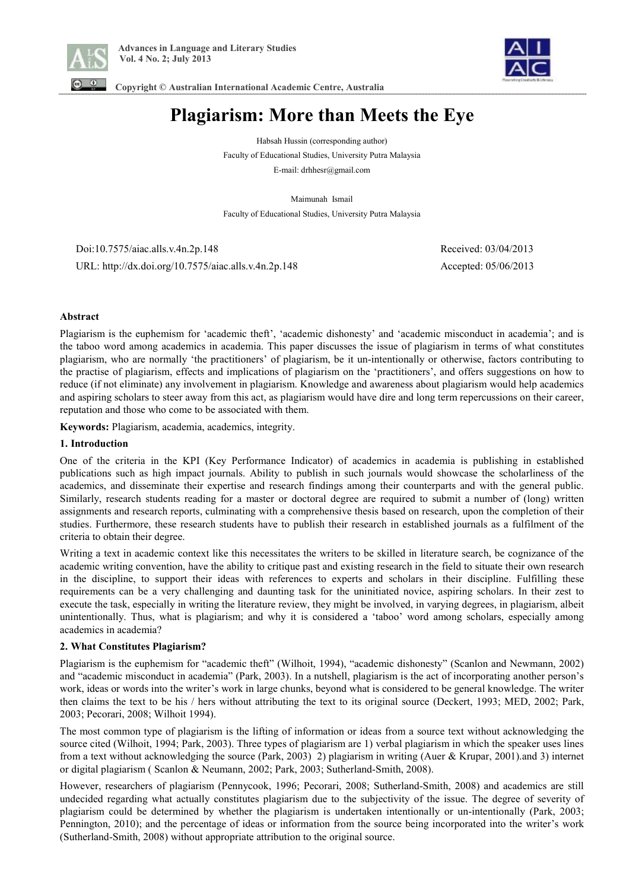



 **Copyright © Australian International Academic Centre, Australia** 

# **Plagiarism: More than Meets the Eye**

Habsah Hussin (corresponding author) Faculty of Educational Studies, University Putra Malaysia E-mail: drhhesr@gmail.com

Maimunah Ismail Faculty of Educational Studies, University Putra Malaysia

 Doi:10.7575/aiac.alls.v.4n.2p.148 Received: 03/04/2013 URL: http://dx.doi.org/10.7575/aiac.alls.v.4n.2p.148 Accepted: 05/06/2013

# **Abstract**

Plagiarism is the euphemism for 'academic theft', 'academic dishonesty' and 'academic misconduct in academia'; and is the taboo word among academics in academia. This paper discusses the issue of plagiarism in terms of what constitutes plagiarism, who are normally 'the practitioners' of plagiarism, be it un-intentionally or otherwise, factors contributing to the practise of plagiarism, effects and implications of plagiarism on the 'practitioners', and offers suggestions on how to reduce (if not eliminate) any involvement in plagiarism. Knowledge and awareness about plagiarism would help academics and aspiring scholars to steer away from this act, as plagiarism would have dire and long term repercussions on their career, reputation and those who come to be associated with them.

**Keywords:** Plagiarism, academia, academics, integrity.

#### **1. Introduction**

One of the criteria in the KPI (Key Performance Indicator) of academics in academia is publishing in established publications such as high impact journals. Ability to publish in such journals would showcase the scholarliness of the academics, and disseminate their expertise and research findings among their counterparts and with the general public. Similarly, research students reading for a master or doctoral degree are required to submit a number of (long) written assignments and research reports, culminating with a comprehensive thesis based on research, upon the completion of their studies. Furthermore, these research students have to publish their research in established journals as a fulfilment of the criteria to obtain their degree.

Writing a text in academic context like this necessitates the writers to be skilled in literature search, be cognizance of the academic writing convention, have the ability to critique past and existing research in the field to situate their own research in the discipline, to support their ideas with references to experts and scholars in their discipline. Fulfilling these requirements can be a very challenging and daunting task for the uninitiated novice, aspiring scholars. In their zest to execute the task, especially in writing the literature review, they might be involved, in varying degrees, in plagiarism, albeit unintentionally. Thus, what is plagiarism; and why it is considered a 'taboo' word among scholars, especially among academics in academia?

# **2. What Constitutes Plagiarism?**

Plagiarism is the euphemism for "academic theft" (Wilhoit, 1994), "academic dishonesty" (Scanlon and Newmann, 2002) and "academic misconduct in academia" (Park, 2003). In a nutshell, plagiarism is the act of incorporating another person's work, ideas or words into the writer's work in large chunks, beyond what is considered to be general knowledge. The writer then claims the text to be his / hers without attributing the text to its original source (Deckert, 1993; MED, 2002; Park, 2003; Pecorari, 2008; Wilhoit 1994).

The most common type of plagiarism is the lifting of information or ideas from a source text without acknowledging the source cited (Wilhoit, 1994; Park, 2003). Three types of plagiarism are 1) verbal plagiarism in which the speaker uses lines from a text without acknowledging the source (Park, 2003) 2) plagiarism in writing (Auer & Krupar, 2001).and 3) internet or digital plagiarism ( Scanlon & Neumann, 2002; Park, 2003; Sutherland-Smith, 2008).

However, researchers of plagiarism (Pennycook, 1996; Pecorari, 2008; Sutherland-Smith, 2008) and academics are still undecided regarding what actually constitutes plagiarism due to the subjectivity of the issue. The degree of severity of plagiarism could be determined by whether the plagiarism is undertaken intentionally or un-intentionally (Park, 2003; Pennington, 2010); and the percentage of ideas or information from the source being incorporated into the writer's work (Sutherland-Smith, 2008) without appropriate attribution to the original source.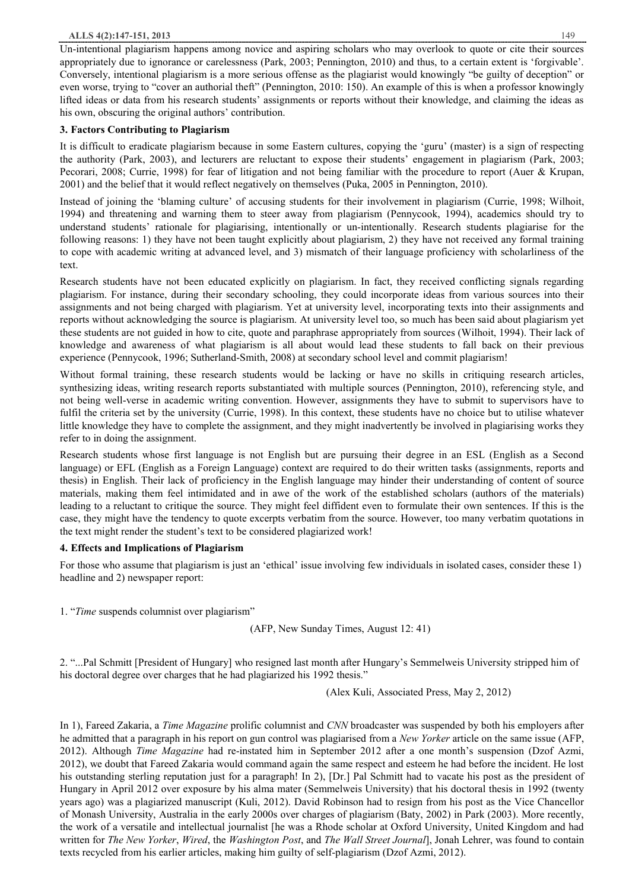#### **ALLS 4(2):147-151, 2013** 149

Un-intentional plagiarism happens among novice and aspiring scholars who may overlook to quote or cite their sources appropriately due to ignorance or carelessness (Park, 2003; Pennington, 2010) and thus, to a certain extent is 'forgivable'. Conversely, intentional plagiarism is a more serious offense as the plagiarist would knowingly "be guilty of deception" or even worse, trying to "cover an authorial theft" (Pennington, 2010: 150). An example of this is when a professor knowingly lifted ideas or data from his research students' assignments or reports without their knowledge, and claiming the ideas as his own, obscuring the original authors' contribution.

# **3. Factors Contributing to Plagiarism**

It is difficult to eradicate plagiarism because in some Eastern cultures, copying the 'guru' (master) is a sign of respecting the authority (Park, 2003), and lecturers are reluctant to expose their students' engagement in plagiarism (Park, 2003; Pecorari, 2008; Currie, 1998) for fear of litigation and not being familiar with the procedure to report (Auer & Krupan, 2001) and the belief that it would reflect negatively on themselves (Puka, 2005 in Pennington, 2010).

Instead of joining the 'blaming culture' of accusing students for their involvement in plagiarism (Currie, 1998; Wilhoit, 1994) and threatening and warning them to steer away from plagiarism (Pennycook, 1994), academics should try to understand students' rationale for plagiarising, intentionally or un-intentionally. Research students plagiarise for the following reasons: 1) they have not been taught explicitly about plagiarism, 2) they have not received any formal training to cope with academic writing at advanced level, and 3) mismatch of their language proficiency with scholarliness of the text.

Research students have not been educated explicitly on plagiarism. In fact, they received conflicting signals regarding plagiarism. For instance, during their secondary schooling, they could incorporate ideas from various sources into their assignments and not being charged with plagiarism. Yet at university level, incorporating texts into their assignments and reports without acknowledging the source is plagiarism. At university level too, so much has been said about plagiarism yet these students are not guided in how to cite, quote and paraphrase appropriately from sources (Wilhoit, 1994). Their lack of knowledge and awareness of what plagiarism is all about would lead these students to fall back on their previous experience (Pennycook, 1996; Sutherland-Smith, 2008) at secondary school level and commit plagiarism!

Without formal training, these research students would be lacking or have no skills in critiquing research articles, synthesizing ideas, writing research reports substantiated with multiple sources (Pennington, 2010), referencing style, and not being well-verse in academic writing convention. However, assignments they have to submit to supervisors have to fulfil the criteria set by the university (Currie, 1998). In this context, these students have no choice but to utilise whatever little knowledge they have to complete the assignment, and they might inadvertently be involved in plagiarising works they refer to in doing the assignment.

Research students whose first language is not English but are pursuing their degree in an ESL (English as a Second language) or EFL (English as a Foreign Language) context are required to do their written tasks (assignments, reports and thesis) in English. Their lack of proficiency in the English language may hinder their understanding of content of source materials, making them feel intimidated and in awe of the work of the established scholars (authors of the materials) leading to a reluctant to critique the source. They might feel diffident even to formulate their own sentences. If this is the case, they might have the tendency to quote excerpts verbatim from the source. However, too many verbatim quotations in the text might render the student's text to be considered plagiarized work!

# **4. Effects and Implications of Plagiarism**

For those who assume that plagiarism is just an 'ethical' issue involving few individuals in isolated cases, consider these 1) headline and 2) newspaper report:

1. "*Time* suspends columnist over plagiarism"

(AFP, New Sunday Times, August 12: 41)

2. "...Pal Schmitt [President of Hungary] who resigned last month after Hungary's Semmelweis University stripped him of his doctoral degree over charges that he had plagiarized his 1992 thesis."

(Alex Kuli, Associated Press, May 2, 2012)

In 1), Fareed Zakaria, a *Time Magazine* prolific columnist and *CNN* broadcaster was suspended by both his employers after he admitted that a paragraph in his report on gun control was plagiarised from a *New Yorker* article on the same issue (AFP, 2012). Although *Time Magazine* had re-instated him in September 2012 after a one month's suspension (Dzof Azmi, 2012), we doubt that Fareed Zakaria would command again the same respect and esteem he had before the incident. He lost his outstanding sterling reputation just for a paragraph! In 2), [Dr.] Pal Schmitt had to vacate his post as the president of Hungary in April 2012 over exposure by his alma mater (Semmelweis University) that his doctoral thesis in 1992 (twenty years ago) was a plagiarized manuscript (Kuli, 2012). David Robinson had to resign from his post as the Vice Chancellor of Monash University, Australia in the early 2000s over charges of plagiarism (Baty, 2002) in Park (2003). More recently, the work of a versatile and intellectual journalist [he was a Rhode scholar at Oxford University, United Kingdom and had written for *The New Yorker*, *Wired*, the *Washington Post*, and *The Wall Street Journal*], Jonah Lehrer, was found to contain texts recycled from his earlier articles, making him guilty of self-plagiarism (Dzof Azmi, 2012).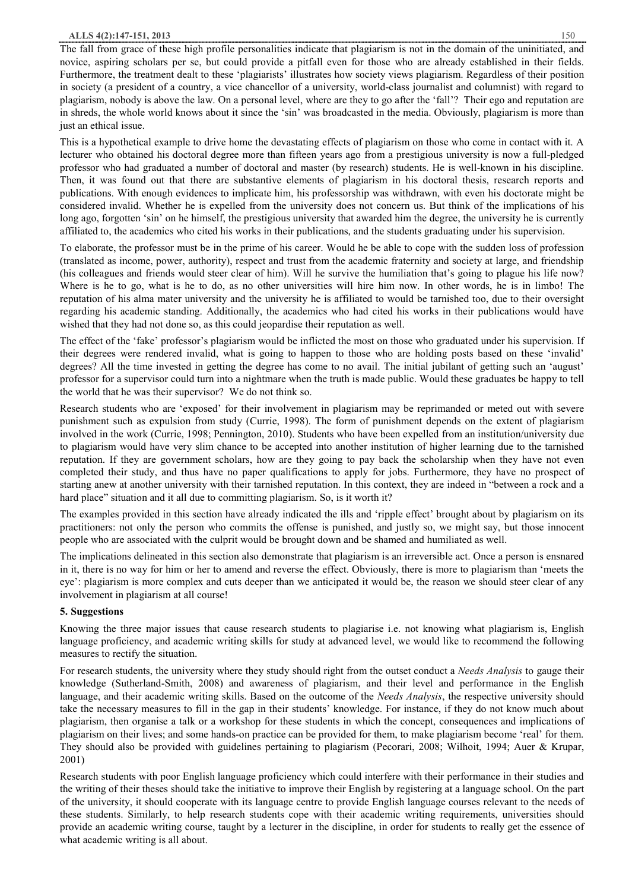The fall from grace of these high profile personalities indicate that plagiarism is not in the domain of the uninitiated, and novice, aspiring scholars per se, but could provide a pitfall even for those who are already established in their fields. Furthermore, the treatment dealt to these 'plagiarists' illustrates how society views plagiarism. Regardless of their position in society (a president of a country, a vice chancellor of a university, world-class journalist and columnist) with regard to plagiarism, nobody is above the law. On a personal level, where are they to go after the 'fall'? Their ego and reputation are in shreds, the whole world knows about it since the 'sin' was broadcasted in the media. Obviously, plagiarism is more than just an ethical issue.

This is a hypothetical example to drive home the devastating effects of plagiarism on those who come in contact with it. A lecturer who obtained his doctoral degree more than fifteen years ago from a prestigious university is now a full-pledged professor who had graduated a number of doctoral and master (by research) students. He is well-known in his discipline. Then, it was found out that there are substantive elements of plagiarism in his doctoral thesis, research reports and publications. With enough evidences to implicate him, his professorship was withdrawn, with even his doctorate might be considered invalid. Whether he is expelled from the university does not concern us. But think of the implications of his long ago, forgotten 'sin' on he himself, the prestigious university that awarded him the degree, the university he is currently affiliated to, the academics who cited his works in their publications, and the students graduating under his supervision.

To elaborate, the professor must be in the prime of his career. Would he be able to cope with the sudden loss of profession (translated as income, power, authority), respect and trust from the academic fraternity and society at large, and friendship (his colleagues and friends would steer clear of him). Will he survive the humiliation that's going to plague his life now? Where is he to go, what is he to do, as no other universities will hire him now. In other words, he is in limbo! The reputation of his alma mater university and the university he is affiliated to would be tarnished too, due to their oversight regarding his academic standing. Additionally, the academics who had cited his works in their publications would have wished that they had not done so, as this could jeopardise their reputation as well.

The effect of the 'fake' professor's plagiarism would be inflicted the most on those who graduated under his supervision. If their degrees were rendered invalid, what is going to happen to those who are holding posts based on these 'invalid' degrees? All the time invested in getting the degree has come to no avail. The initial jubilant of getting such an 'august' professor for a supervisor could turn into a nightmare when the truth is made public. Would these graduates be happy to tell the world that he was their supervisor? We do not think so.

Research students who are 'exposed' for their involvement in plagiarism may be reprimanded or meted out with severe punishment such as expulsion from study (Currie, 1998). The form of punishment depends on the extent of plagiarism involved in the work (Currie, 1998; Pennington, 2010). Students who have been expelled from an institution/university due to plagiarism would have very slim chance to be accepted into another institution of higher learning due to the tarnished reputation. If they are government scholars, how are they going to pay back the scholarship when they have not even completed their study, and thus have no paper qualifications to apply for jobs. Furthermore, they have no prospect of starting anew at another university with their tarnished reputation. In this context, they are indeed in "between a rock and a hard place" situation and it all due to committing plagiarism. So, is it worth it?

The examples provided in this section have already indicated the ills and 'ripple effect' brought about by plagiarism on its practitioners: not only the person who commits the offense is punished, and justly so, we might say, but those innocent people who are associated with the culprit would be brought down and be shamed and humiliated as well.

The implications delineated in this section also demonstrate that plagiarism is an irreversible act. Once a person is ensnared in it, there is no way for him or her to amend and reverse the effect. Obviously, there is more to plagiarism than 'meets the eye': plagiarism is more complex and cuts deeper than we anticipated it would be, the reason we should steer clear of any involvement in plagiarism at all course!

# **5. Suggestions**

Knowing the three major issues that cause research students to plagiarise i.e. not knowing what plagiarism is, English language proficiency, and academic writing skills for study at advanced level, we would like to recommend the following measures to rectify the situation.

For research students, the university where they study should right from the outset conduct a *Needs Analysis* to gauge their knowledge (Sutherland-Smith, 2008) and awareness of plagiarism, and their level and performance in the English language, and their academic writing skills. Based on the outcome of the *Needs Analysis*, the respective university should take the necessary measures to fill in the gap in their students' knowledge. For instance, if they do not know much about plagiarism, then organise a talk or a workshop for these students in which the concept, consequences and implications of plagiarism on their lives; and some hands-on practice can be provided for them, to make plagiarism become 'real' for them. They should also be provided with guidelines pertaining to plagiarism (Pecorari, 2008; Wilhoit, 1994; Auer & Krupar, 2001)

Research students with poor English language proficiency which could interfere with their performance in their studies and the writing of their theses should take the initiative to improve their English by registering at a language school. On the part of the university, it should cooperate with its language centre to provide English language courses relevant to the needs of these students. Similarly, to help research students cope with their academic writing requirements, universities should provide an academic writing course, taught by a lecturer in the discipline, in order for students to really get the essence of what academic writing is all about.